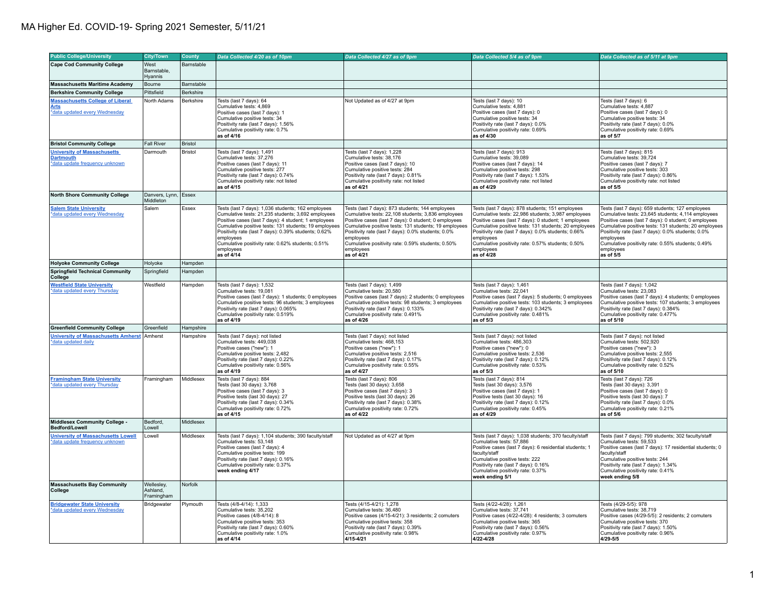## MA Higher Ed. COVID-19- Spring 2021 Semester, 5/11/21

| <b>Public College/University</b>                                                         | <b>City/Town</b>                     | County     | Data Collected 4/20 as of 10pm                                                                                                                                                                                                                                                                                                                                                 | Data Collected 4/27 as of 9pm                                                                                                                                                                                                                                                                                                                                              | Data Collected 5/4 as of 9pm                                                                                                                                                                                                                                                                                                                                                | Data Collected as of 5/11 at 9pm                                                                                                                                                                                                                                                                                                                                          |
|------------------------------------------------------------------------------------------|--------------------------------------|------------|--------------------------------------------------------------------------------------------------------------------------------------------------------------------------------------------------------------------------------------------------------------------------------------------------------------------------------------------------------------------------------|----------------------------------------------------------------------------------------------------------------------------------------------------------------------------------------------------------------------------------------------------------------------------------------------------------------------------------------------------------------------------|-----------------------------------------------------------------------------------------------------------------------------------------------------------------------------------------------------------------------------------------------------------------------------------------------------------------------------------------------------------------------------|---------------------------------------------------------------------------------------------------------------------------------------------------------------------------------------------------------------------------------------------------------------------------------------------------------------------------------------------------------------------------|
| Cape Cod Community College                                                               | West                                 | Barnstable |                                                                                                                                                                                                                                                                                                                                                                                |                                                                                                                                                                                                                                                                                                                                                                            |                                                                                                                                                                                                                                                                                                                                                                             |                                                                                                                                                                                                                                                                                                                                                                           |
|                                                                                          | Barnstable.<br>Hyannis               |            |                                                                                                                                                                                                                                                                                                                                                                                |                                                                                                                                                                                                                                                                                                                                                                            |                                                                                                                                                                                                                                                                                                                                                                             |                                                                                                                                                                                                                                                                                                                                                                           |
| <b>Massachusetts Maritime Academy</b>                                                    | Bourne                               | Barnstable |                                                                                                                                                                                                                                                                                                                                                                                |                                                                                                                                                                                                                                                                                                                                                                            |                                                                                                                                                                                                                                                                                                                                                                             |                                                                                                                                                                                                                                                                                                                                                                           |
| <b>Berkshire Community College</b>                                                       | Pittsfield                           | Berkshire  |                                                                                                                                                                                                                                                                                                                                                                                |                                                                                                                                                                                                                                                                                                                                                                            |                                                                                                                                                                                                                                                                                                                                                                             |                                                                                                                                                                                                                                                                                                                                                                           |
| <b>Massachusetts College of Liberal</b><br><b>Arts</b><br>*data updated every Wednesday  | North Adams                          | Berkshire  | Tests (last 7 days): 64<br>Cumulative tests: 4,869<br>Positive cases (last 7 days): 1<br>Cumulative positive tests: 34<br>Positivity rate (last 7 days): 1.56%<br>Cumulative positivity rate: 0.7%<br>as of 4/16                                                                                                                                                               | Not Updated as of 4/27 at 9pm                                                                                                                                                                                                                                                                                                                                              | Tests (last 7 days): 10<br>Cumulative tests: 4,881<br>Positive cases (last 7 days): 0<br>Cumulative positive tests: 34<br>Positivity rate (last 7 days): 0.0%<br>Cumulative positivity rate: 0.69%<br>as of 4/30                                                                                                                                                            | Tests (last 7 days): 6<br>Cumulative tests: 4,887<br>Positive cases (last 7 days): 0<br>Cumulative positive tests: 34<br>Positivity rate (last 7 days): 0.0%<br>Cumulative positivity rate: 0.69%<br>as of 5/7                                                                                                                                                            |
| <b>Bristol Community College</b>                                                         | Fall River                           | Bristol    |                                                                                                                                                                                                                                                                                                                                                                                |                                                                                                                                                                                                                                                                                                                                                                            |                                                                                                                                                                                                                                                                                                                                                                             |                                                                                                                                                                                                                                                                                                                                                                           |
| <b>University of Massachusetts</b><br><b>Dartmouth</b><br>*data update frequency unknown | Darmouth                             | Bristol    | Tests (last 7 days): 1,491<br>Cumulative tests: 37.276<br>Positive cases (last 7 days): 11<br>Cumulative positive tests: 277<br>Positivity rate (last 7 days): 0.74%<br>Cumulative positivity rate: not listed<br>as of 4/15                                                                                                                                                   | Tests (last 7 days): 1,228<br>Cumulative tests: 38.176<br>Positive cases (last 7 days): 10<br>Cumulative positive tests: 284<br>Positivity rate (last 7 days): 0.81%<br>Cumulative positivity rate: not listed<br>as of 4/21                                                                                                                                               | Tests (last 7 days): 913<br>Cumulative tests: 39.089<br>Positive cases (last 7 days): 14<br>Cumulative positive tests: 298<br>Positivity rate (last 7 days): 1.53%<br>Cumulative positivity rate: not listed<br>as of 4/29                                                                                                                                                  | Tests (last 7 days): 815<br>Cumulative tests: 39.724<br>Positive cases (last 7 days): 7<br>Cumulative positive tests: 303<br>Positivity rate (last 7 days): 0.86%<br>Cumulative positivity rate: not listed<br>as of 5/5                                                                                                                                                  |
| <b>North Shore Community College</b>                                                     | Danvers, Lynn,<br>Middleton          | Essex      |                                                                                                                                                                                                                                                                                                                                                                                |                                                                                                                                                                                                                                                                                                                                                                            |                                                                                                                                                                                                                                                                                                                                                                             |                                                                                                                                                                                                                                                                                                                                                                           |
| <b>Salem State University</b><br>*data updated every Wednesday                           | Salem                                | Essex      | Tests (last 7 days): 1,036 students; 162 employees<br>Cumulative tests: 21,235 students; 3,692 employees<br>Positive cases (last 7 days): 4 student; 1 employees<br>Cumulative positive tests: 131 students; 19 employees<br>Positivity rate (last 7 days): 0.39% students; 0.62%<br>employees<br>Cumulative positivity rate: 0.62% students; 0.51%<br>employees<br>as of 4/14 | Tests (last 7 days): 873 students; 144 employees<br>Cumulative tests: 22,108 students; 3,836 employees<br>Positive cases (last 7 days): 0 student; 0 employees<br>Cumulative positive tests: 131 students; 19 employees<br>Positivity rate (last 7 days): 0.0% students; 0.0%<br>employees<br>Cumulative positivity rate: 0.59% students; 0.50%<br>employees<br>as of 4/21 | Tests (last 7 days): 878 students; 151 employees<br>Cumulative tests: 22,986 students; 3,987 employees<br>Positive cases (last 7 days): 0 student; 1 employees<br>Cumulative positive tests: 131 students; 20 employees<br>Positivity rate (last 7 days): 0.0% students; 0.66%<br>employees<br>Cumulative positivity rate: 0.57% students; 0.50%<br>employees<br>as of 4/28 | Tests (last 7 days): 659 students; 127 employees<br>Cumulative tests: 23,645 students; 4,114 employees<br>Positive cases (last 7 days): 0 student; 0 employees<br>Cumulative positive tests: 131 students; 20 employees<br>Positivity rate (last 7 days): 0.0% students; 0.0%<br>employees<br>Cumulative positivity rate: 0.55% students; 0.49%<br>employees<br>as of 5/5 |
| <b>Holyoke Community College</b>                                                         | Holyoke                              | Hampden    |                                                                                                                                                                                                                                                                                                                                                                                |                                                                                                                                                                                                                                                                                                                                                                            |                                                                                                                                                                                                                                                                                                                                                                             |                                                                                                                                                                                                                                                                                                                                                                           |
| <b>Springfield Technical Community</b><br>College                                        | Springfield                          | Hampden    |                                                                                                                                                                                                                                                                                                                                                                                |                                                                                                                                                                                                                                                                                                                                                                            |                                                                                                                                                                                                                                                                                                                                                                             |                                                                                                                                                                                                                                                                                                                                                                           |
| <b>Westfield State University</b><br>*data updated every Thursday                        | Westfield                            | Hampden    | Tests (last 7 days): 1,532<br>Cumulative tests: 19,081<br>Positive cases (last 7 days): 1 students; 0 employees<br>Cumulative positive tests: 96 students; 3 employees<br>Positivity rate (last 7 days): 0.065%<br>Cumulative positivity rate: 0.519%<br>as of 4/19                                                                                                            | Tests (last 7 days): 1,499<br>Cumulative tests: 20,580<br>Positive cases (last 7 days): 2 students; 0 employees<br>Cumulative positive tests: 98 students; 3 employees<br>Positivity rate (last 7 days): 0.133%<br>Cumulative positivity rate: 0.491%<br>as of 4/26                                                                                                        | Tests (last 7 days): 1,461<br>Cumulative tests: 22,041<br>Positive cases (last 7 days): 5 students; 0 employees<br>Cumulative positive tests: 103 students; 3 employees<br>Positivity rate (last 7 days): 0.342%<br>Cumulative positivity rate: 0.481%<br>as of 5/3                                                                                                         | Tests (last 7 days): 1,042<br>Cumulative tests: 23,083<br>Positive cases (last 7 days): 4 students; 0 employees<br>Cumulative positive tests: 107 students; 3 employees<br>Positivity rate (last 7 days): 0.384%<br>Cumulative positivity rate: 0.477%<br>as of 5/10                                                                                                      |
| <b>Greenfield Community College</b>                                                      | Greenfield                           | Hampshire  |                                                                                                                                                                                                                                                                                                                                                                                |                                                                                                                                                                                                                                                                                                                                                                            |                                                                                                                                                                                                                                                                                                                                                                             |                                                                                                                                                                                                                                                                                                                                                                           |
| University of Massachusetts Amherst Amherst<br>*data updated daily                       |                                      | Hampshire  | Tests (last 7 days): not listed<br>Cumulative tests: 449,038<br>Positive cases ("new"): 1<br>Cumulative positive tests: 2.482<br>Positivity rate (last 7 days): 0.22%<br>Cumulative positivity rate: 0.56%<br>as of 4/19                                                                                                                                                       | Tests (last 7 days): not listed<br>Cumulative tests: 468,153<br>Positive cases ("new"): 1<br>Cumulative positive tests: 2.516<br>Positivity rate (last 7 days): 0.17%<br>Cumulative positivity rate: 0.55%<br>as of 4/27                                                                                                                                                   | Tests (last 7 days): not listed<br>Cumulative tests: 486,303<br>Positive cases ("new"): 0<br>Cumulative positive tests: 2.536<br>Positivity rate (last 7 days): 0.12%<br>Cumulative positivity rate: 0.53%<br>as of 5/3                                                                                                                                                     | Tests (last 7 days): not listed<br>Cumulative tests: 502,920<br>Positive cases ("new"): 3<br>Cumulative positive tests: 2.555<br>Positivity rate (last 7 days): 0.12%<br>Cumulative positivity rate: 0.52%<br>as of 5/10                                                                                                                                                  |
| <b>Framingham State University</b><br>data updated every Thursday                        | Framingham                           | Middlesex  | Tests (last 7 days): 884<br>Tests (last 30 days): 3,768<br>Positive cases (last 7 days): 3<br>Positive tests (last 30 days): 27<br>Positivity rate (last 7 days): 0.34%<br>Cumulative positivity rate: 0.72%<br>as of 4/15                                                                                                                                                     | Tests (last 7 days): 806<br>Tests (last 30 days): 3,658<br>Positive cases (last 7 days): 3<br>Positive tests (last 30 days): 26<br>Positivity rate (last 7 days): 0.38%<br>Cumulative positivity rate: 0.72%<br>as of 4/22                                                                                                                                                 | Tests (last 7 days): 814<br>Tests (last 30 days): 3,576<br>Positive cases (last 7 days): 1<br>Positive tests (last 30 days): 16<br>Positivity rate (last 7 days): 0.12%<br>Cumulative positivity rate: 0.45%<br>as of 4/29                                                                                                                                                  | Tests (last 7 days): 726<br>Tests (last 30 days): 3,391<br>Positive cases (last 7 days): 0<br>Positive tests (last 30 days): 7<br>Positivity rate (last 7 days): 0.0%<br>Cumulative positivity rate: 0.21%<br>as of 5/6                                                                                                                                                   |
| Middlesex Community College -<br>Bedford/Lowell                                          | Bedford,<br>Lowell                   | Middlesex  |                                                                                                                                                                                                                                                                                                                                                                                |                                                                                                                                                                                                                                                                                                                                                                            |                                                                                                                                                                                                                                                                                                                                                                             |                                                                                                                                                                                                                                                                                                                                                                           |
| <b>University of Massachusetts Lowell</b><br>*data update frequency unknown              | Lowell                               | Middlesex  | Tests (last 7 days): 1,104 students; 390 faculty/staff<br>Cumulative tests: 53,148<br>Positive cases (last 7 days): 4<br>Cumulative positive tests: 199<br>Positivity rate (last 7 days): 0.16%<br>Cumulative positivity rate: 0.37%<br>week ending 4/17                                                                                                                       | Not Updated as of 4/27 at 9pm                                                                                                                                                                                                                                                                                                                                              | Tests (last 7 days): 1,038 students; 370 faculty/staff<br>Cumulative tests: 57,886<br>Positive cases (last 7 days): 6 residential students; 1<br>faculty/staff<br>Cumulative positive tests: 222<br>Positivity rate (last 7 days): 0.16%<br>Cumulative positivity rate: 0.37%<br>week ending 5/1                                                                            | Tests (last 7 days): 799 students; 302 faculty/staff<br>Cumulative tests: 59,533<br>Positive cases (last 7 days): 17 residential students; 0<br>faculty/staff<br>Cumulative positive tests: 244<br>Positivity rate (last 7 days): 1.34%<br>Cumulative positivity rate: 0.41%<br>week ending 5/8                                                                           |
| <b>Massachusetts Bay Community</b><br>College                                            | Wellesley,<br>Ashland.<br>Framingham | Norfolk    |                                                                                                                                                                                                                                                                                                                                                                                |                                                                                                                                                                                                                                                                                                                                                                            |                                                                                                                                                                                                                                                                                                                                                                             |                                                                                                                                                                                                                                                                                                                                                                           |
| <b>Bridgewater State University</b><br>*data updated every Wednesday                     | Bridgewater                          | Plymouth   | Tests (4/8-4/14): 1,333<br>Cumulative tests: 35,202<br>Positive cases (4/8-4/14): 8<br>Cumulative positive tests: 353<br>Positivity rate (last 7 days): 0.60%<br>Cumulative positivity rate: 1.0%<br>as of 4/14                                                                                                                                                                | Tests (4/15-4/21): 1,278<br>Cumulative tests: 36,480<br>Positive cases (4/15-4/21): 3 residents; 2 comuters<br>Cumulative positive tests: 358<br>Positivity rate (last 7 days): 0.39%<br>Cumulative positivity rate: 0.98%<br>4/15-4/21                                                                                                                                    | Tests (4/22-4/28): 1,261<br>Cumulative tests: 37,741<br>Positive cases (4/22-4/28): 4 residents; 3 comuters<br>Cumulative positive tests: 365<br>Positivity rate (last 7 days): 0.56%<br>Cumulative positivity rate: 0.97%<br>4/22-4/28                                                                                                                                     | Tests (4/29-5/5): 978<br>Cumulative tests: 38,719<br>Positive cases (4/29-5/5): 2 residents; 2 comuters<br>Cumulative positive tests: 370<br>Positivity rate (last 7 days): 1.50%<br>Cumulative positivity rate: 0.96%<br>$4/29 - 5/5$                                                                                                                                    |